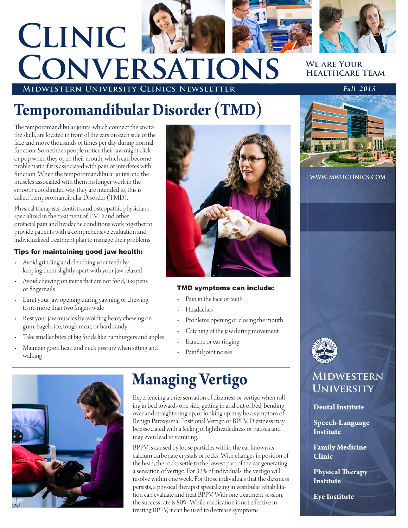

# **Midwestern University Clinics Newsletter** *Fall 2015* **Clinic Conversations**

# **We are Your Healthcare Team**

# **Temporomandibular Disorder (TMD)**

The temporomandibular joints, which connect the jaw to the skull, are located in front of the ears on each side of the face and move thousands of times per day during normal function. Sometimes people notice their jaw might click or pop when they open their mouth, which can become problematic if it is associated with pain or interferes with function. When the temporomandibular joints and the muscles associated with them no longer work in the smooth coordinated way they are intended to, this is called Temporomandibular Disorder (TMD).

Physical therapists, dentists, and osteopathic physicians specialized in the treatment of TMD and other orofacial pain and headache conditions work together to provide patients with a comprehensive evaluation and individualized treatment plan to manage their problems.

# Tips for maintaining good jaw health:

- Avoid grinding and clenching your teeth by keeping them slightly apart with your jaw relaxed
- Avoid chewing on items that are not food, like pens or fingernails
- Limit your jaw opening during yawning or chewing to no more than two fingers wide
- Rest your jaw muscles by avoiding heavy chewing on gum, bagels, ice, tough meat, or hard candy
- Take smaller bites of big foods like hamburgers and apples
- Maintain good head and neck posture when sitting and walking



# **Managing Vertigo**

Experiencing a brief sensation of dizziness or vertigo when rolling in bed towards one side, getting in and out of bed, bending over and straightening up, or looking up may be a symptom of Benign Paroxysmal Positional Vertigo or BPPV. Dizziness may be associated with a feeling of lightheadedness or nausea and may even lead to vomiting.

BPPV is caused by loose particles within the ear known as calcium carbonate crystals or rocks. With changes in position of the head, the rocks settle to the lowest part of the ear generating a sensation of vertigo. For 33% of individuals, the vertigo will resolve within one week. For those individuals that the dizziness persists, a physical therapist specializing in vestibular rehabilitation can evaluate and treat BPPV. With one treatment session, the success rate is 80%. While medication is not effective in treating BPPV, it can be used to decrease symptoms.



### **www.mwuclinics.com**



# **Midwestern University**

# **Dental Institute**

**Speech-Language Institute**

**Family Medicine Clinic**

**Physical Therapy Institute**

**Eye Institute**



# TMD symptoms can include:

- Pain in the face or teeth
- Headaches
- Problems opening or closing the mouth
- Catching of the jaw during movement
- Earache or ear ringing
- Painful joint noises